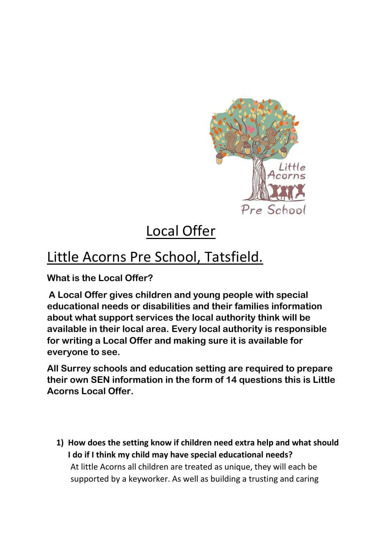

# Local Offer

# Little Acorns Pre School, Tatsfield.

**What is the Local Offer?**

**A Local Offer gives children and young people with special educational needs or disabilities and their families information about what support services the local authority think will be available in their local area. Every local authority is responsible for writing a Local Offer and making sure it is available for everyone to see.**

**All Surrey schools and education setting are required to prepare their own SEN information in the form of 14 questions this is Little Acorns Local Offer.**

**1) How does the setting know if children need extra help and what should I do if I think my child may have special educational needs?** At little Acorns all children are treated as unique, they will each be supported by a keyworker. As well as building a trusting and caring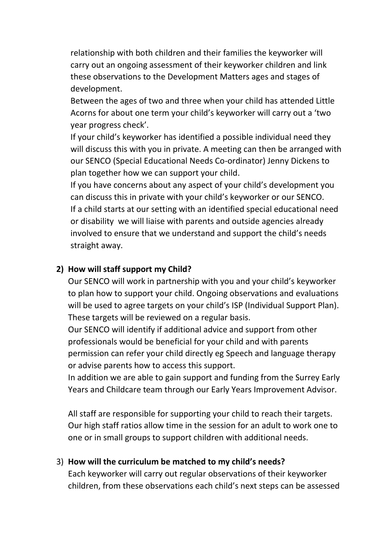relationship with both children and their families the keyworker will carry out an ongoing assessment of their keyworker children and link these observations to the Development Matters ages and stages of development.

Between the ages of two and three when your child has attended Little Acorns for about one term your child's keyworker will carry out a 'two year progress check'.

If your child's keyworker has identified a possible individual need they will discuss this with you in private. A meeting can then be arranged with our SENCO (Special Educational Needs Co-ordinator) Jenny Dickens to plan together how we can support your child.

If you have concerns about any aspect of your child's development you can discuss this in private with your child's keyworker or our SENCO. If a child starts at our setting with an identified special educational need or disability we will liaise with parents and outside agencies already involved to ensure that we understand and support the child's needs straight away.

#### **2) How will staff support my Child?**

Our SENCO will work in partnership with you and your child's keyworker to plan how to support your child. Ongoing observations and evaluations will be used to agree targets on your child's ISP (Individual Support Plan). These targets will be reviewed on a regular basis.

Our SENCO will identify if additional advice and support from other professionals would be beneficial for your child and with parents permission can refer your child directly eg Speech and language therapy or advise parents how to access this support.

In addition we are able to gain support and funding from the Surrey Early Years and Childcare team through our Early Years Improvement Advisor.

All staff are responsible for supporting your child to reach their targets. Our high staff ratios allow time in the session for an adult to work one to one or in small groups to support children with additional needs.

#### 3) **How will the curriculum be matched to my child's needs?**

Each keyworker will carry out regular observations of their keyworker children, from these observations each child's next steps can be assessed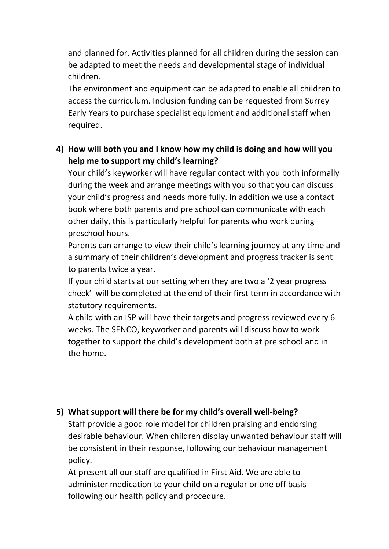and planned for. Activities planned for all children during the session can be adapted to meet the needs and developmental stage of individual children.

The environment and equipment can be adapted to enable all children to access the curriculum. Inclusion funding can be requested from Surrey Early Years to purchase specialist equipment and additional staff when required.

## **4) How will both you and I know how my child is doing and how will you help me to support my child's learning?**

Your child's keyworker will have regular contact with you both informally during the week and arrange meetings with you so that you can discuss your child's progress and needs more fully. In addition we use a contact book where both parents and pre school can communicate with each other daily, this is particularly helpful for parents who work during preschool hours.

Parents can arrange to view their child's learning journey at any time and a summary of their children's development and progress tracker is sent to parents twice a year.

If your child starts at our setting when they are two a '2 year progress check' will be completed at the end of their first term in accordance with statutory requirements.

A child with an ISP will have their targets and progress reviewed every 6 weeks. The SENCO, keyworker and parents will discuss how to work together to support the child's development both at pre school and in the home.

#### **5) What support will there be for my child's overall well-being?**

Staff provide a good role model for children praising and endorsing desirable behaviour. When children display unwanted behaviour staff will be consistent in their response, following our behaviour management policy.

At present all our staff are qualified in First Aid. We are able to administer medication to your child on a regular or one off basis following our health policy and procedure.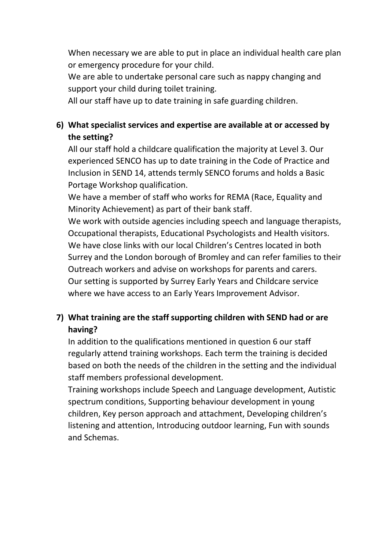When necessary we are able to put in place an individual health care plan or emergency procedure for your child.

We are able to undertake personal care such as nappy changing and support your child during toilet training.

All our staff have up to date training in safe guarding children.

## **6) What specialist services and expertise are available at or accessed by the setting?**

All our staff hold a childcare qualification the majority at Level 3. Our experienced SENCO has up to date training in the Code of Practice and Inclusion in SEND 14, attends termly SENCO forums and holds a Basic Portage Workshop qualification.

We have a member of staff who works for REMA (Race, Equality and Minority Achievement) as part of their bank staff.

We work with outside agencies including speech and language therapists, Occupational therapists, Educational Psychologists and Health visitors. We have close links with our local Children's Centres located in both Surrey and the London borough of Bromley and can refer families to their Outreach workers and advise on workshops for parents and carers. Our setting is supported by Surrey Early Years and Childcare service where we have access to an Early Years Improvement Advisor.

## **7) What training are the staff supporting children with SEND had or are having?**

In addition to the qualifications mentioned in question 6 our staff regularly attend training workshops. Each term the training is decided based on both the needs of the children in the setting and the individual staff members professional development.

Training workshops include Speech and Language development, Autistic spectrum conditions, Supporting behaviour development in young children, Key person approach and attachment, Developing children's listening and attention, Introducing outdoor learning, Fun with sounds and Schemas.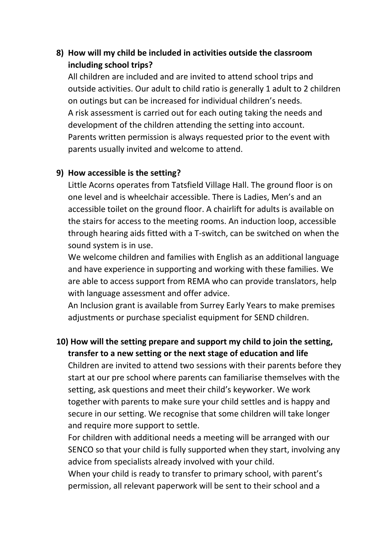## **8) How will my child be included in activities outside the classroom including school trips?**

All children are included and are invited to attend school trips and outside activities. Our adult to child ratio is generally 1 adult to 2 children on outings but can be increased for individual children's needs. A risk assessment is carried out for each outing taking the needs and development of the children attending the setting into account. Parents written permission is always requested prior to the event with parents usually invited and welcome to attend.

#### **9) How accessible is the setting?**

Little Acorns operates from Tatsfield Village Hall. The ground floor is on one level and is wheelchair accessible. There is Ladies, Men's and an accessible toilet on the ground floor. A chairlift for adults is available on the stairs for access to the meeting rooms. An induction loop, accessible through hearing aids fitted with a T-switch, can be switched on when the sound system is in use.

We welcome children and families with English as an additional language and have experience in supporting and working with these families. We are able to access support from REMA who can provide translators, help with language assessment and offer advice.

An Inclusion grant is available from Surrey Early Years to make premises adjustments or purchase specialist equipment for SEND children.

## **10) How will the setting prepare and support my child to join the setting, transfer to a new setting or the next stage of education and life**

Children are invited to attend two sessions with their parents before they start at our pre school where parents can familiarise themselves with the setting, ask questions and meet their child's keyworker. We work together with parents to make sure your child settles and is happy and secure in our setting. We recognise that some children will take longer and require more support to settle.

For children with additional needs a meeting will be arranged with our SENCO so that your child is fully supported when they start, involving any advice from specialists already involved with your child.

When your child is ready to transfer to primary school, with parent's permission, all relevant paperwork will be sent to their school and a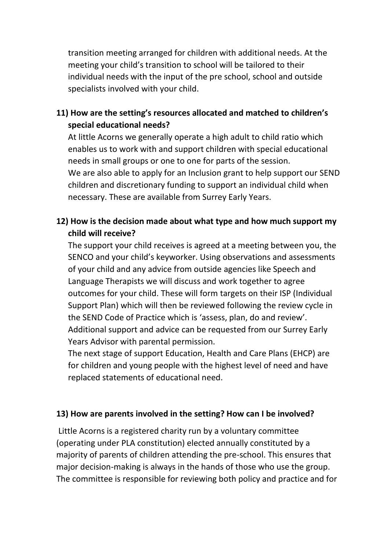transition meeting arranged for children with additional needs. At the meeting your child's transition to school will be tailored to their individual needs with the input of the pre school, school and outside specialists involved with your child.

## **11) How are the setting's resources allocated and matched to children's special educational needs?**

At little Acorns we generally operate a high adult to child ratio which enables us to work with and support children with special educational needs in small groups or one to one for parts of the session. We are also able to apply for an Inclusion grant to help support our SEND children and discretionary funding to support an individual child when necessary. These are available from Surrey Early Years.

## **12) How is the decision made about what type and how much support my child will receive?**

The support your child receives is agreed at a meeting between you, the SENCO and your child's keyworker. Using observations and assessments of your child and any advice from outside agencies like Speech and Language Therapists we will discuss and work together to agree outcomes for your child. These will form targets on their ISP (Individual Support Plan) which will then be reviewed following the review cycle in the SEND Code of Practice which is 'assess, plan, do and review'. Additional support and advice can be requested from our Surrey Early Years Advisor with parental permission.

The next stage of support Education, Health and Care Plans (EHCP) are for children and young people with the highest level of need and have replaced statements of educational need.

#### **13) How are parents involved in the setting? How can I be involved?**

Little Acorns is a registered charity run by a voluntary committee (operating under PLA constitution) elected annually constituted by a majority of parents of children attending the pre-school. This ensures that major decision-making is always in the hands of those who use the group. The committee is responsible for reviewing both policy and practice and for